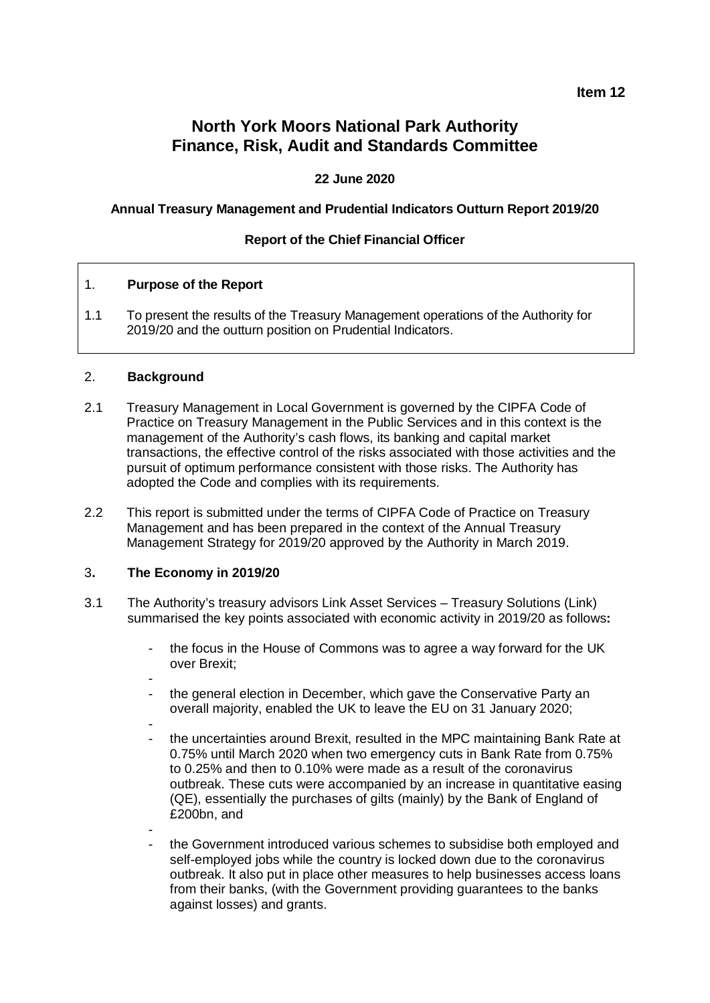### **Item 12**

# **North York Moors National Park Authority Finance, Risk, Audit and Standards Committee**

### **22 June 2020**

#### **Annual Treasury Management and Prudential Indicators Outturn Report 2019/20**

#### **Report of the Chief Financial Officer**

#### 1. **Purpose of the Report**

1.1 To present the results of the Treasury Management operations of the Authority for 2019/20 and the outturn position on Prudential Indicators.

#### 2. **Background**

- 2.1 Treasury Management in Local Government is governed by the CIPFA Code of Practice on Treasury Management in the Public Services and in this context is the management of the Authority's cash flows, its banking and capital market transactions, the effective control of the risks associated with those activities and the pursuit of optimum performance consistent with those risks. The Authority has adopted the Code and complies with its requirements.
- 2.2 This report is submitted under the terms of CIPFA Code of Practice on Treasury Management and has been prepared in the context of the Annual Treasury Management Strategy for 2019/20 approved by the Authority in March 2019.

#### 3**. The Economy in 2019/20**

- 3.1 The Authority's treasury advisors Link Asset Services Treasury Solutions (Link) summarised the key points associated with economic activity in 2019/20 as follows**:**
	- the focus in the House of Commons was to agree a way forward for the UK over Brexit;
	-
	- the general election in December, which gave the Conservative Party an overall majority, enabled the UK to leave the EU on 31 January 2020;
	- - the uncertainties around Brexit, resulted in the MPC maintaining Bank Rate at 0.75% until March 2020 when two emergency cuts in Bank Rate from 0.75% to 0.25% and then to 0.10% were made as a result of the coronavirus outbreak. These cuts were accompanied by an increase in quantitative easing (QE), essentially the purchases of gilts (mainly) by the Bank of England of £200bn, and
	- the Government introduced various schemes to subsidise both employed and self-employed jobs while the country is locked down due to the coronavirus outbreak. It also put in place other measures to help businesses access loans from their banks, (with the Government providing guarantees to the banks against losses) and grants.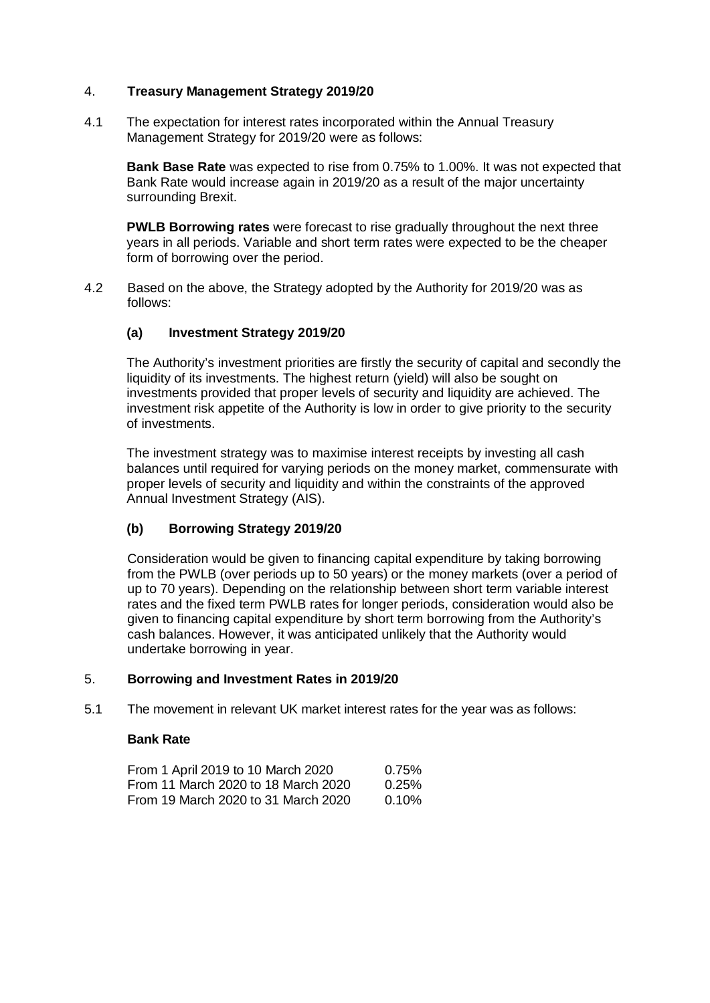#### 4. **Treasury Management Strategy 2019/20**

4.1 The expectation for interest rates incorporated within the Annual Treasury Management Strategy for 2019/20 were as follows:

**Bank Base Rate** was expected to rise from 0.75% to 1.00%. It was not expected that Bank Rate would increase again in 2019/20 as a result of the major uncertainty surrounding Brexit.

**PWLB Borrowing rates** were forecast to rise gradually throughout the next three years in all periods. Variable and short term rates were expected to be the cheaper form of borrowing over the period.

4.2 Based on the above, the Strategy adopted by the Authority for 2019/20 was as follows:

#### **(a) Investment Strategy 2019/20**

The Authority's investment priorities are firstly the security of capital and secondly the liquidity of its investments. The highest return (yield) will also be sought on investments provided that proper levels of security and liquidity are achieved. The investment risk appetite of the Authority is low in order to give priority to the security of investments.

The investment strategy was to maximise interest receipts by investing all cash balances until required for varying periods on the money market, commensurate with proper levels of security and liquidity and within the constraints of the approved Annual Investment Strategy (AIS).

#### **(b) Borrowing Strategy 2019/20**

Consideration would be given to financing capital expenditure by taking borrowing from the PWLB (over periods up to 50 years) or the money markets (over a period of up to 70 years). Depending on the relationship between short term variable interest rates and the fixed term PWLB rates for longer periods, consideration would also be given to financing capital expenditure by short term borrowing from the Authority's cash balances. However, it was anticipated unlikely that the Authority would undertake borrowing in year.

#### 5. **Borrowing and Investment Rates in 2019/20**

5.1 The movement in relevant UK market interest rates for the year was as follows:

#### **Bank Rate**

| From 1 April 2019 to 10 March 2020  | 0.75%    |
|-------------------------------------|----------|
| From 11 March 2020 to 18 March 2020 | $0.25\%$ |
| From 19 March 2020 to 31 March 2020 | $0.10\%$ |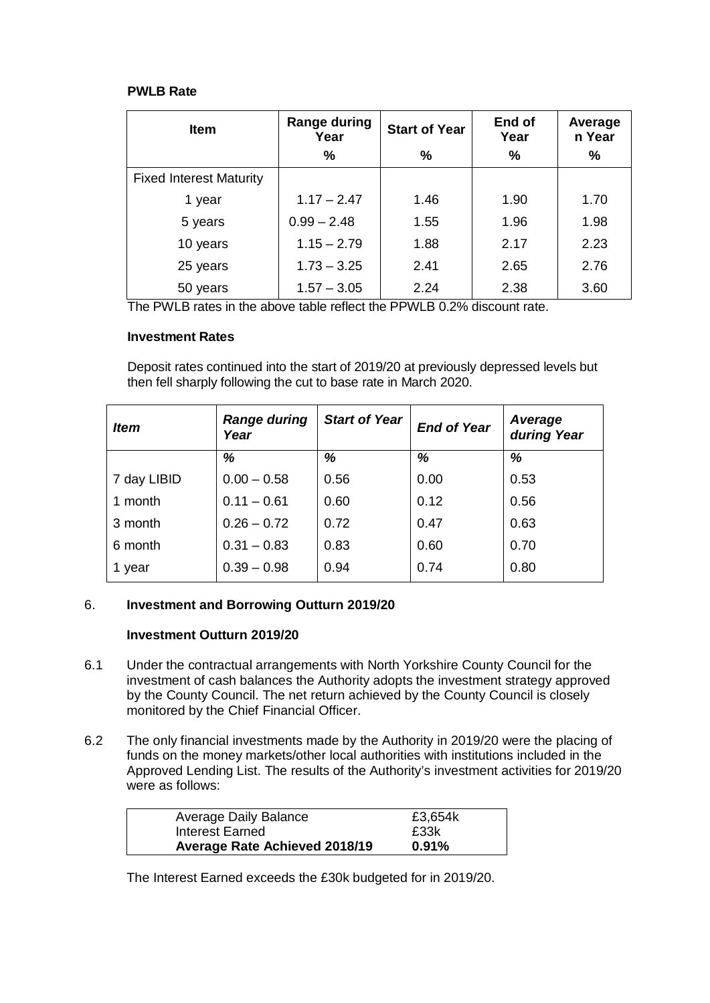#### **PWLB Rate**

| <b>Item</b>                    | <b>Range during</b><br>Year | <b>Start of Year</b> | End of<br>Year | Average<br>n Year |
|--------------------------------|-----------------------------|----------------------|----------------|-------------------|
|                                | %                           | %                    | $\%$           | %                 |
| <b>Fixed Interest Maturity</b> |                             |                      |                |                   |
| 1 year                         | $1.17 - 2.47$               | 1.46                 | 1.90           | 1.70              |
| 5 years                        | $0.99 - 2.48$               | 1.55                 | 1.96           | 1.98              |
| 10 years                       | $1.15 - 2.79$               | 1.88                 | 2.17           | 2.23              |
| 25 years                       | $1.73 - 3.25$               | 2.41                 | 2.65           | 2.76              |
| 50 years                       | $1.57 - 3.05$               | 2.24                 | 2.38           | 3.60              |

The PWLB rates in the above table reflect the PPWLB 0.2% discount rate.

### **Investment Rates**

Deposit rates continued into the start of 2019/20 at previously depressed levels but then fell sharply following the cut to base rate in March 2020.

| <i><b>Item</b></i> | <b>Range during</b><br>Year | <b>Start of Year</b> | <b>End of Year</b> | Average<br>during Year |
|--------------------|-----------------------------|----------------------|--------------------|------------------------|
|                    | %                           | %                    | %                  | %                      |
| 7 day LIBID        | $0.00 - 0.58$               | 0.56                 | 0.00               | 0.53                   |
| 1 month            | $0.11 - 0.61$               | 0.60                 | 0.12               | 0.56                   |
| 3 month            | $0.26 - 0.72$               | 0.72                 | 0.47               | 0.63                   |
| 6 month            | $0.31 - 0.83$               | 0.83                 | 0.60               | 0.70                   |
| 1 year             | $0.39 - 0.98$               | 0.94                 | 0.74               | 0.80                   |

### 6. **Investment and Borrowing Outturn 2019/20**

#### **Investment Outturn 2019/20**

- 6.1 Under the contractual arrangements with North Yorkshire County Council for the investment of cash balances the Authority adopts the investment strategy approved by the County Council. The net return achieved by the County Council is closely monitored by the Chief Financial Officer.
- 6.2 The only financial investments made by the Authority in 2019/20 were the placing of funds on the money markets/other local authorities with institutions included in the Approved Lending List. The results of the Authority's investment activities for 2019/20 were as follows:

| <b>Average Daily Balance</b>         | £3,654k  |
|--------------------------------------|----------|
| Interest Earned                      | £33k     |
| <b>Average Rate Achieved 2018/19</b> | $0.91\%$ |

The Interest Earned exceeds the £30k budgeted for in 2019/20.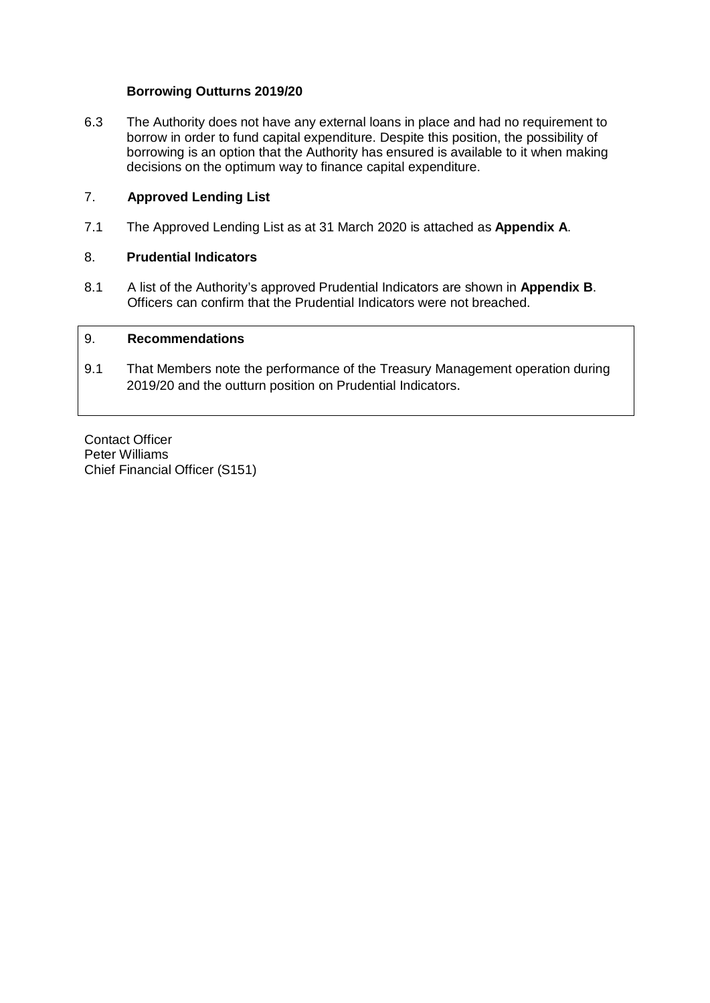#### **Borrowing Outturns 2019/20**

6.3 The Authority does not have any external loans in place and had no requirement to borrow in order to fund capital expenditure. Despite this position, the possibility of borrowing is an option that the Authority has ensured is available to it when making decisions on the optimum way to finance capital expenditure.

#### 7. **Approved Lending List**

7.1 The Approved Lending List as at 31 March 2020 is attached as **Appendix A**.

### 8. **Prudential Indicators**

8.1 A list of the Authority's approved Prudential Indicators are shown in **Appendix B**. Officers can confirm that the Prudential Indicators were not breached.

### 9. **Recommendations**

9.1 That Members note the performance of the Treasury Management operation during 2019/20 and the outturn position on Prudential Indicators.

Contact Officer Peter Williams Chief Financial Officer (S151)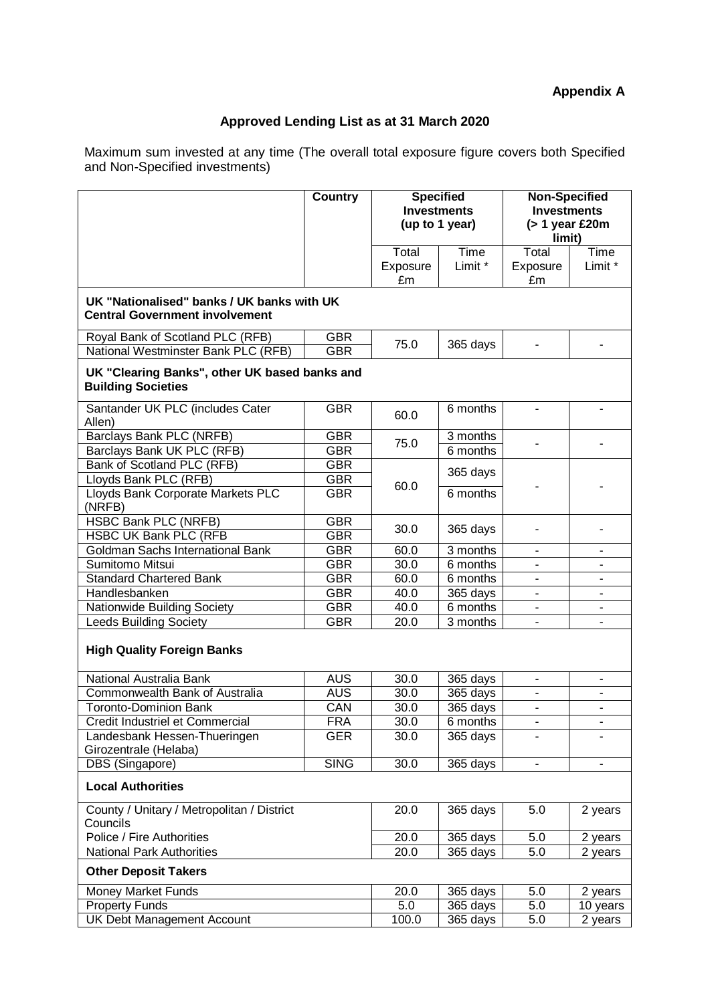## **Appendix A**

# **Approved Lending List as at 31 March 2020**

Maximum sum invested at any time (The overall total exposure figure covers both Specified and Non-Specified investments)

|                                                                                     | <b>Country</b>           | <b>Specified</b><br><b>Investments</b><br>(up to 1 year) |                       | <b>Non-Specified</b><br><b>Investments</b><br>$($ > 1 year £20m<br>limit) |                 |
|-------------------------------------------------------------------------------------|--------------------------|----------------------------------------------------------|-----------------------|---------------------------------------------------------------------------|-----------------|
|                                                                                     |                          | Total<br>Exposure<br>£m                                  | Time<br>Limit *       | Total<br>Exposure<br>£m                                                   | Time<br>Limit * |
| UK "Nationalised" banks / UK banks with UK<br><b>Central Government involvement</b> |                          |                                                          |                       |                                                                           |                 |
| Royal Bank of Scotland PLC (RFB)<br>National Westminster Bank PLC (RFB)             | <b>GBR</b><br><b>GBR</b> | 75.0                                                     | 365 days              |                                                                           |                 |
| UK "Clearing Banks", other UK based banks and<br><b>Building Societies</b>          |                          |                                                          |                       |                                                                           |                 |
| Santander UK PLC (includes Cater<br>Allen)                                          | <b>GBR</b>               | 60.0                                                     | 6 months              |                                                                           |                 |
| Barclays Bank PLC (NRFB)<br>Barclays Bank UK PLC (RFB)                              | <b>GBR</b><br><b>GBR</b> | 75.0                                                     | 3 months<br>6 months  |                                                                           |                 |
| Bank of Scotland PLC (RFB)<br>Lloyds Bank PLC (RFB)                                 | <b>GBR</b><br><b>GBR</b> |                                                          | 365 days              |                                                                           |                 |
| Lloyds Bank Corporate Markets PLC<br>(NRFB)                                         | <b>GBR</b>               | 60.0                                                     | 6 months              |                                                                           |                 |
| <b>HSBC Bank PLC (NRFB)</b><br><b>HSBC UK Bank PLC (RFB</b>                         | <b>GBR</b><br><b>GBR</b> | 30.0                                                     | 365 days              |                                                                           |                 |
| Goldman Sachs International Bank                                                    | <b>GBR</b>               | 60.0                                                     | 3 months              |                                                                           |                 |
| Sumitomo Mitsui                                                                     | <b>GBR</b>               | 30.0                                                     | 6 months              |                                                                           |                 |
| <b>Standard Chartered Bank</b>                                                      | <b>GBR</b>               | 60.0                                                     | 6 months              |                                                                           |                 |
| Handlesbanken                                                                       | <b>GBR</b>               | 40.0                                                     | 365 days              |                                                                           |                 |
| Nationwide Building Society                                                         | <b>GBR</b>               | 40.0                                                     | 6 months              |                                                                           |                 |
| <b>Leeds Building Society</b>                                                       | <b>GBR</b>               | 20.0                                                     | 3 months              |                                                                           |                 |
| <b>High Quality Foreign Banks</b>                                                   |                          |                                                          |                       |                                                                           |                 |
| National Australia Bank                                                             | <b>AUS</b>               | 30.0                                                     | 365 days              | Ξ.                                                                        | $\blacksquare$  |
| Commonwealth Bank of Australia                                                      | <b>AUS</b>               | 30.0                                                     | 365 days              |                                                                           |                 |
| <b>Toronto-Dominion Bank</b>                                                        | CAN<br><b>FRA</b>        | 30.0                                                     | 365 days              | ٠                                                                         | $\blacksquare$  |
| Credit Industriel et Commercial                                                     |                          | 30.0                                                     | 6 months              |                                                                           |                 |
| Landesbank Hessen-Thueringen<br>Girozentrale (Helaba)                               | <b>GER</b>               | 30.0                                                     | 365 days              |                                                                           |                 |
| DBS (Singapore)                                                                     | <b>SING</b>              | 30.0                                                     | 365 days              |                                                                           |                 |
| <b>Local Authorities</b>                                                            |                          |                                                          |                       |                                                                           |                 |
| County / Unitary / Metropolitan / District<br>Councils                              |                          | 20.0                                                     | 365 days              | 5.0                                                                       | 2 years         |
| Police / Fire Authorities                                                           |                          | 20.0                                                     | $\overline{365}$ days | 5.0                                                                       | 2 years         |
| <b>National Park Authorities</b>                                                    |                          | 20.0                                                     | 365 days              | 5.0                                                                       | 2 years         |
| <b>Other Deposit Takers</b>                                                         |                          |                                                          |                       |                                                                           |                 |
| <b>Money Market Funds</b>                                                           |                          | 20.0                                                     | 365 days              | 5.0                                                                       | 2 years         |
| <b>Property Funds</b>                                                               |                          | 5.0                                                      | 365 days              | 5.0                                                                       | 10 years        |
| UK Debt Management Account                                                          |                          | 100.0                                                    | 365 days              | 5.0                                                                       | 2 years         |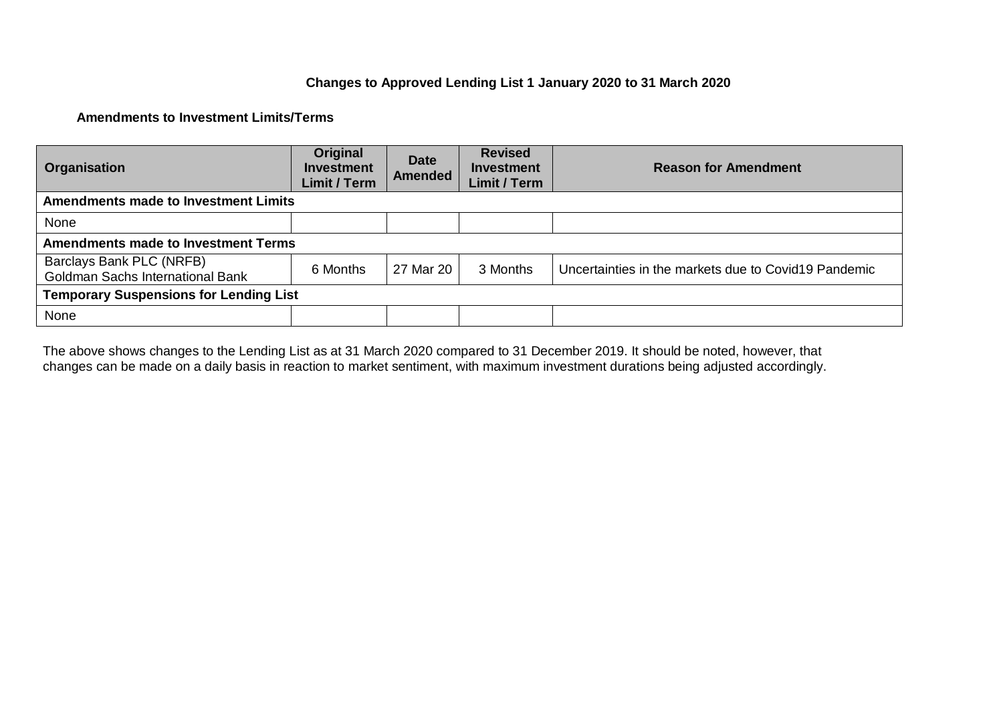### **Changes to Approved Lending List 1 January 2020 to 31 March 2020**

### **Amendments to Investment Limits/Terms**

| Organisation                                                        | Original<br><b>Investment</b><br>Limit / Term | <b>Date</b><br><b>Amended</b> | <b>Revised</b><br><b>Investment</b><br><b>Limit / Term</b> | <b>Reason for Amendment</b>                          |
|---------------------------------------------------------------------|-----------------------------------------------|-------------------------------|------------------------------------------------------------|------------------------------------------------------|
| <b>Amendments made to Investment Limits</b>                         |                                               |                               |                                                            |                                                      |
| None                                                                |                                               |                               |                                                            |                                                      |
| <b>Amendments made to Investment Terms</b>                          |                                               |                               |                                                            |                                                      |
| Barclays Bank PLC (NRFB)<br><b>Goldman Sachs International Bank</b> | 6 Months                                      | 27 Mar 20                     | 3 Months                                                   | Uncertainties in the markets due to Covid19 Pandemic |
| <b>Temporary Suspensions for Lending List</b>                       |                                               |                               |                                                            |                                                      |
| None                                                                |                                               |                               |                                                            |                                                      |

The above shows changes to the Lending List as at 31 March 2020 compared to 31 December 2019. It should be noted, however, that changes can be made on a daily basis in reaction to market sentiment, with maximum investment durations being adjusted accordingly.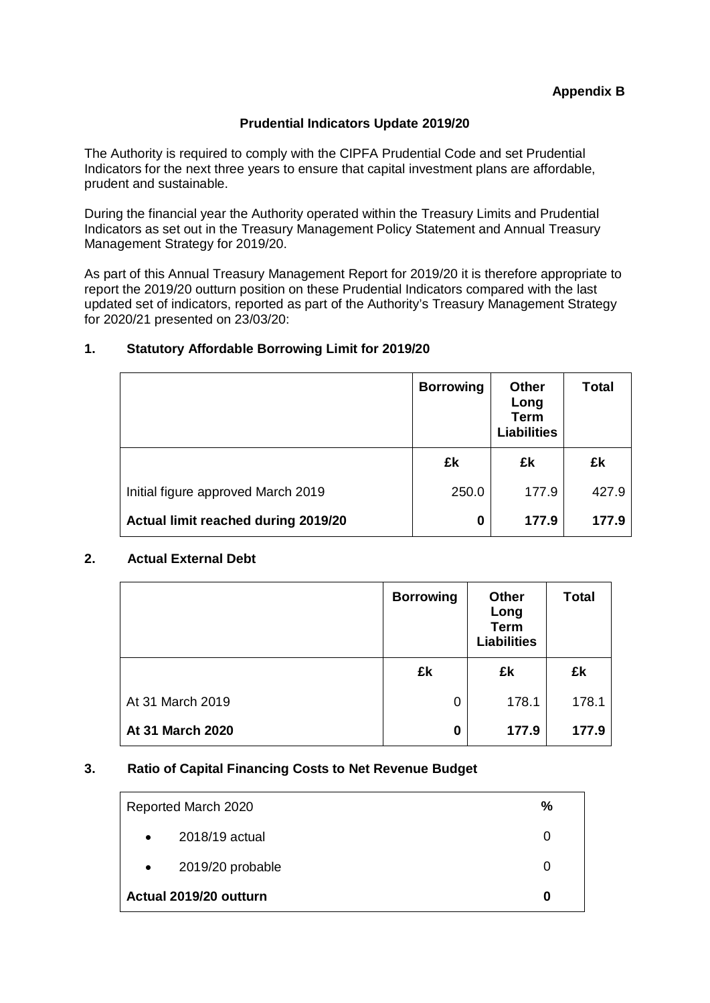### **Prudential Indicators Update 2019/20**

The Authority is required to comply with the CIPFA Prudential Code and set Prudential Indicators for the next three years to ensure that capital investment plans are affordable, prudent and sustainable.

During the financial year the Authority operated within the Treasury Limits and Prudential Indicators as set out in the Treasury Management Policy Statement and Annual Treasury Management Strategy for 2019/20.

As part of this Annual Treasury Management Report for 2019/20 it is therefore appropriate to report the 2019/20 outturn position on these Prudential Indicators compared with the last updated set of indicators, reported as part of the Authority's Treasury Management Strategy for 2020/21 presented on 23/03/20:

### **1. Statutory Affordable Borrowing Limit for 2019/20**

|                                     | <b>Borrowing</b> | <b>Other</b><br>Long<br><b>Term</b><br><b>Liabilities</b> | <b>Total</b> |
|-------------------------------------|------------------|-----------------------------------------------------------|--------------|
|                                     | £k               | £k                                                        | £k           |
| Initial figure approved March 2019  | 250.0            | 177.9                                                     | 427.9        |
| Actual limit reached during 2019/20 | 0                | 177.9                                                     | 177.9        |

#### **2. Actual External Debt**

|                  | <b>Borrowing</b> | <b>Other</b><br>Long<br><b>Term</b><br><b>Liabilities</b> | <b>Total</b> |
|------------------|------------------|-----------------------------------------------------------|--------------|
|                  | £k               | £k                                                        | £k           |
| At 31 March 2019 | 0                | 178.1                                                     | 178.1        |
| At 31 March 2020 | 0                | 177.9                                                     | 177.9        |

#### **3. Ratio of Capital Financing Costs to Net Revenue Budget**

|           | Reported March 2020    | % |
|-----------|------------------------|---|
| $\bullet$ | 2018/19 actual         | O |
| $\bullet$ | 2019/20 probable       | O |
|           | Actual 2019/20 outturn | 0 |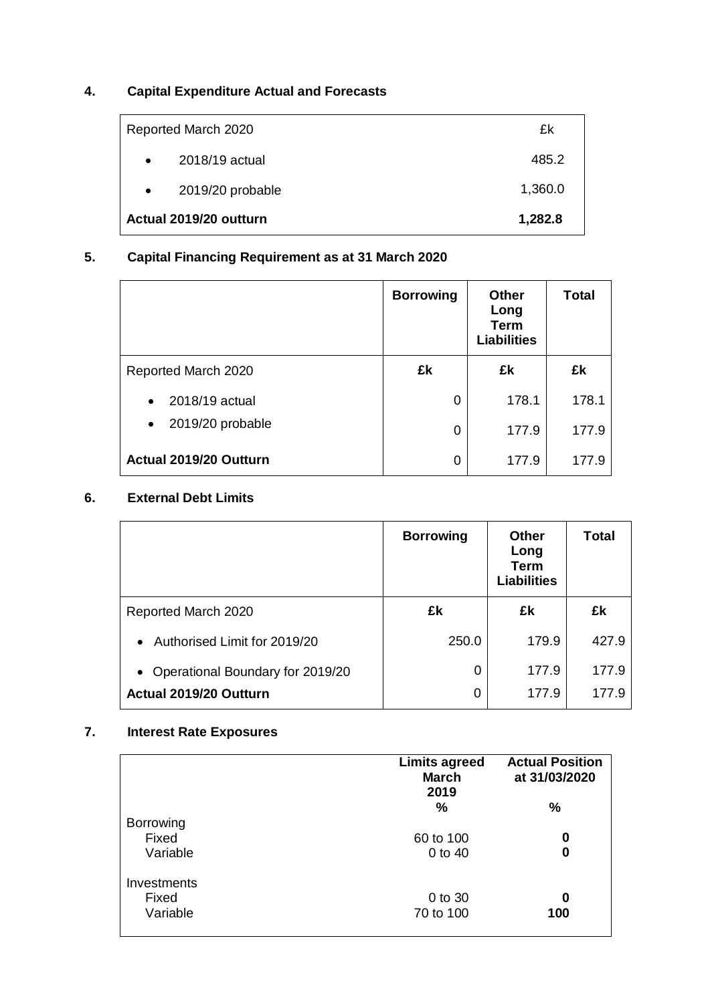# **4. Capital Expenditure Actual and Forecasts**

| Reported March 2020           | £k      |
|-------------------------------|---------|
| 2018/19 actual<br>$\bullet$   | 485.2   |
| 2019/20 probable<br>$\bullet$ | 1,360.0 |
| Actual 2019/20 outturn        | 1,282.8 |

# **5. Capital Financing Requirement as at 31 March 2020**

|                               | <b>Borrowing</b> | <b>Other</b><br>Long<br><b>Term</b><br><b>Liabilities</b> | <b>Total</b> |
|-------------------------------|------------------|-----------------------------------------------------------|--------------|
| Reported March 2020           | £k               | £k                                                        | £k           |
| 2018/19 actual<br>$\bullet$   | 0                | 178.1                                                     | 178.1        |
| 2019/20 probable<br>$\bullet$ | $\Omega$         | 177.9                                                     | 177.9        |
| Actual 2019/20 Outturn        | 0                | 177.9                                                     | 177.9        |

# **6. External Debt Limits**

|                                    | <b>Borrowing</b> | <b>Other</b><br>Long<br><b>Term</b><br><b>Liabilities</b> | Total |
|------------------------------------|------------------|-----------------------------------------------------------|-------|
| Reported March 2020                | £k               | £k                                                        | £k    |
| Authorised Limit for 2019/20       | 250.0            | 179.9                                                     | 427.9 |
| • Operational Boundary for 2019/20 | 0                | 177.9                                                     | 177.9 |
| Actual 2019/20 Outturn             | 0                | 177.9                                                     | 177.9 |

## **7. Interest Rate Exposures**

|                                       | <b>Limits agreed</b><br><b>March</b><br>2019 | <b>Actual Position</b><br>at 31/03/2020 |
|---------------------------------------|----------------------------------------------|-----------------------------------------|
| <b>Borrowing</b><br>Fixed<br>Variable | $\%$<br>60 to 100<br>$0$ to $40$             | %<br>0<br>0                             |
| Investments<br>Fixed<br>Variable      | 0 to 30<br>70 to 100                         | 0<br>100                                |